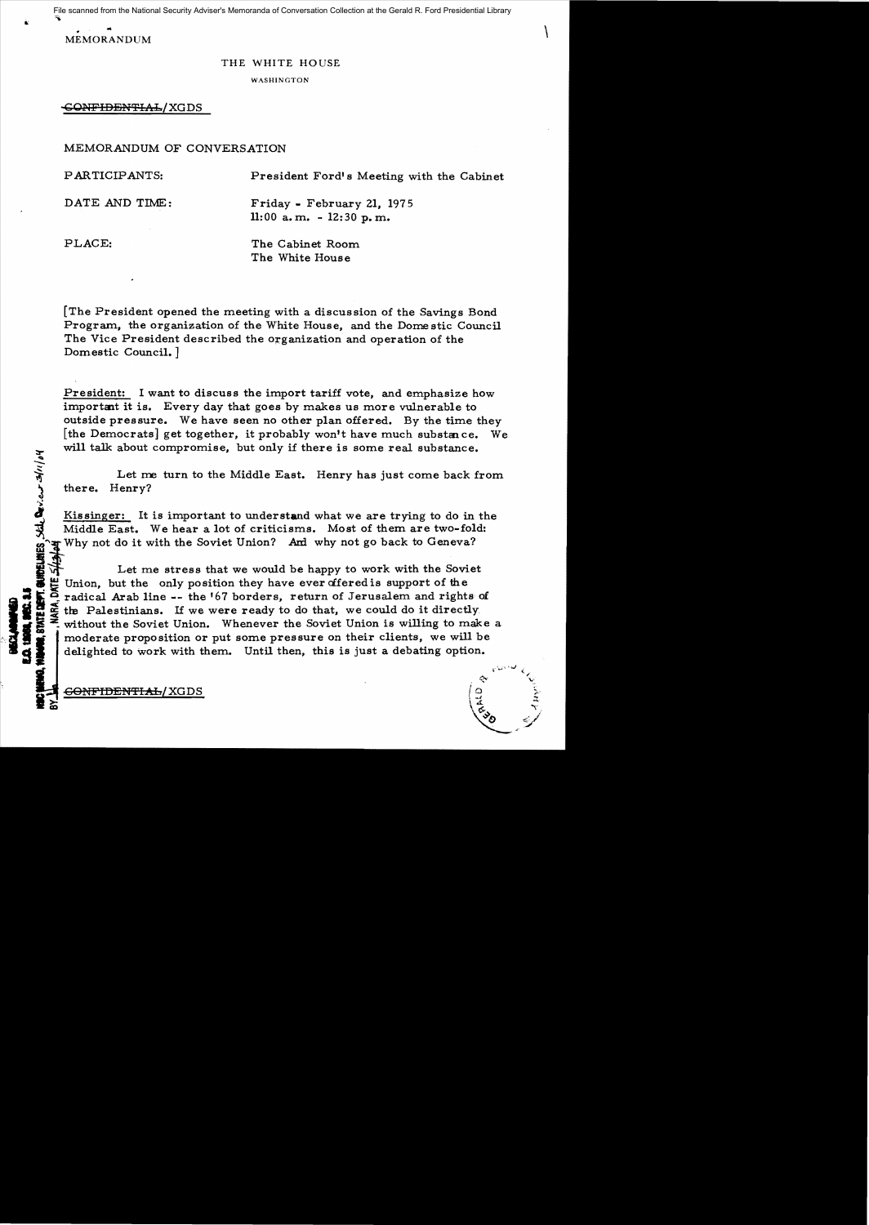File scanned from the National Security Adviser's Memoranda of Conversation Collection at the Gerald R. Ford Presidential Library

 $\begin{minipage}{0.9\linewidth} \textbf{MEMORANDUM} \end{minipage}$ 

## THE WHITE HOUSE

**WASHINGTON** 

GONFIDENTIAL/XGDS

MEMORANDUM OF CONVERSATION

PARTICIPANTS: President Ford's Meeting with the Cabinet DATE AND TIME: Friday - February 21, 1975 11: 00 a. m. - 12: 30 p. m. PLACE: The Cabinet Room

infer-...

The White House

[The President opened the meeting with a discussion of the Savings Bond Program, the organization of the White House, and the Dome stic Council The Vice President described the organization and operation of the Domestic Council.]

President: I want to discuss the import tariff vote, and emphasize how important it is. Every day that goes by makes us more vulnerable to outside pressure. We have seen no other plan offered. By the time they [the Democrats] get together, it probably won't have much substance. We will talk about compromise, but only if there is some real substance.<br>
Let me turn to the Middle East. Henry has just come back from

there. Henry?

Kissinger: It is important to understand what we are trying to do in the Middle East. We hear a lot of criticisms. Most of them are two-fold: Why not do it with the Soviet Union? And why not go back to Geneva?

Let me stress that we would be happy to work with the Soviet Union, but the only position they have ever differed is support of the radical Arab line -- the '67 borders, return of Jerusalem and rights of the Palestinians. If we were ready to do that, we could do it directly without the Soviet Union. Whenever the Soviet Union is willing to make a moderate proposition or put some pressure on their clients, we will be delighted to work with them. Until then, this is just a debating option.

> $,$  $\sim$   $\sim$

 $\begin{pmatrix} a_{30} & c \end{pmatrix}$ 

<del>GONFIDENTIAL</del>/XGDS .~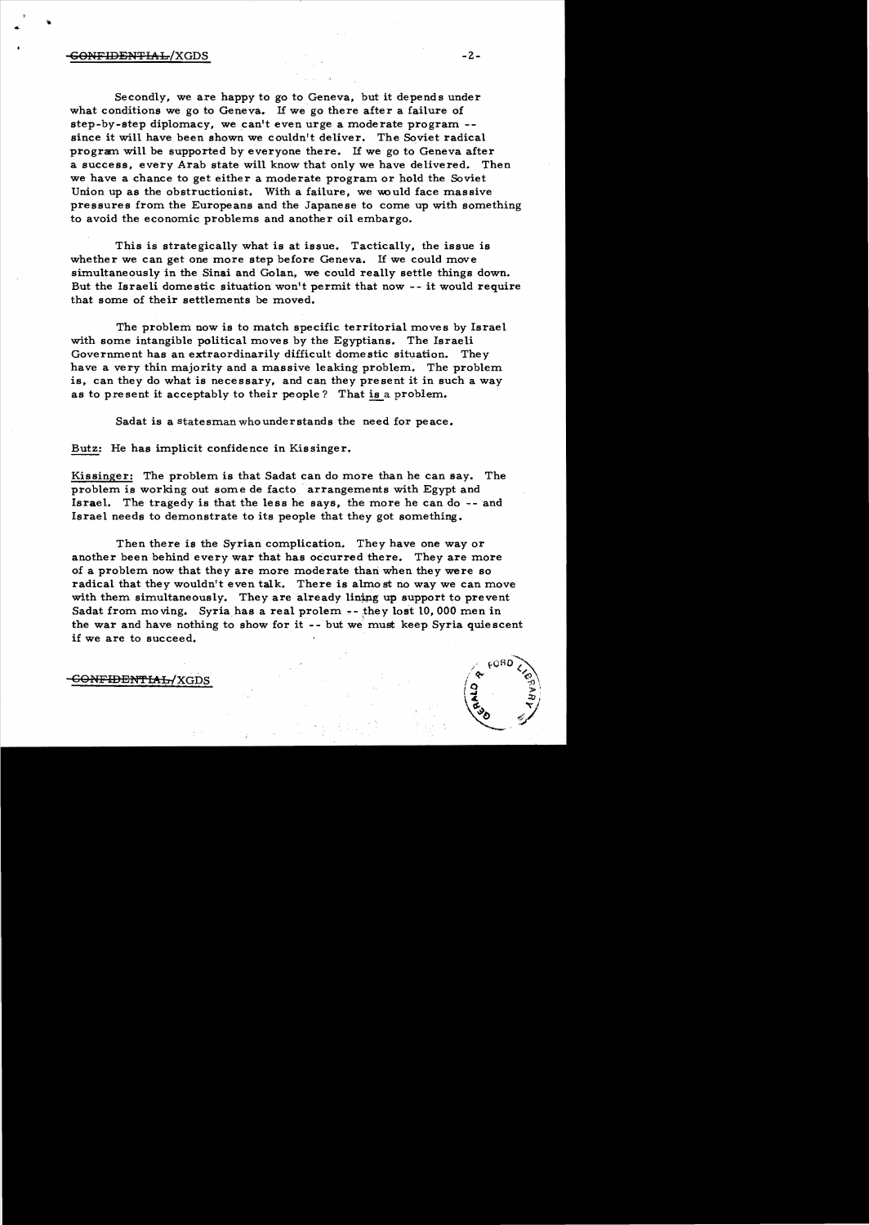# $\overline{\text{GONFIDENTHA}}$   $\overline{\text{L}}$   $\overline{\text{LOS}}$

...

Secondly, we are happy to go to Geneva, but it depends under what conditions we go to Geneva. If we go there after a failure of step-by-step diplomacy, we can't even urge a moderate program since it will have been shown we couldn't deliver. The Soviet radical program will be supported by everyone there. If we go to Geneva after a success, every Arab state will know that only we have delivered. Then we have a chance to get either a moderate program or hold the Soviet Union up as the obstructionist. With a failure, we would face massive pressures from the Europeans and the Japanese to come up with something to avoid the economic problems and another oil embargo.

This is strategically what is at issue. Tactically, the issue is whether we can get one more step before Geneva. If we could move simultaneously in the Sinai and Golan, we could really settle things down. But the Israeli domestic situation won't permit that now - - it would require that some of their settlements be moved.

The problem now is to match specific territorial moves by Israel with some intangible political moves by the Egyptians. The Israeli Government has an extraordinarily difficult domestic situation. They have a very thin majority and a massive leaking problem. The problem is, can they do what is necessary, and can they present it in such a way as to present it acceptably to their people? That is a problem.

Sadat is a statesman who understands the need for peace.

Butz: He has implicit confidence in Kissinger.

Kissinger: The problem is that Sadat can do more than he can say. The problem is working out some de facto arrangements with Egypt and Israel. The tragedy is that the less he says, the more he can do-- and Israel needs to demonstrate to its people that they got something.

Then there is the Syrian complication. They have one way or another been behind every war that has occurred there. They are more of a problem now that they are more moderate than when they were so radical that they wouldn't even talk. There is almo st no way we can move with them simultaneously. They are already lining up support to prevent Sadat from moving. Syria has a real prolem  $-$ - they lost 10,000 men in the war and have nothing to show for it -- but we must keep Syria quiescent if we are to succeed.

<del>ENFIDENTIAL/</del>XGDS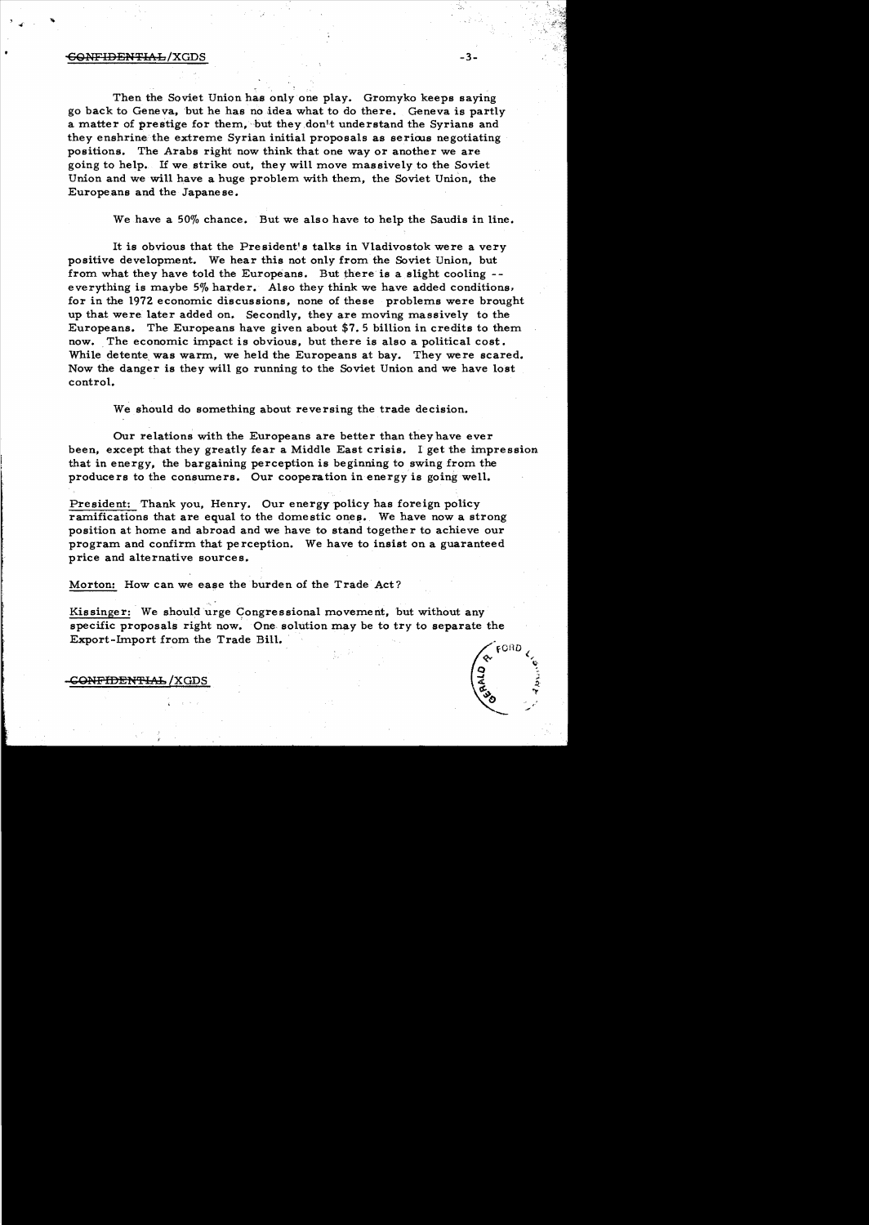#### -3-<del>CONFIDENTIAL</del>/XGDS

Then the Soviet Union has only one play. Gromyko keeps saying go back to Geneva, 'but he has no idea what to do there. Geneva is partly a matter of prestige for them, but they don't understand the Syrians and they enshrine the extreme Syrian initial proposals as serious negotiating positions. The Arabs right now think that one way or another we are going to help. If we. strike out, they will move massively to the Soviet Union and we will have a huge problem with them, the Soviet Union, the Europe ans and the Japane se.

We have a 50% chance. But we also have to help the Saudis in line.

It is obvious that the President's talks in Vladivostok were a very positive development. We hear this not only from the Soviet Union, but from what they have told the Europeans. But there is a slight cooling everything is maybe 5% harder. Also they think we have added conditions, for in the 1972 economic discussions, none of these problems were brought up that were. later added on. Secondly, they are moving massively to the Europeans. The Europeans have given about \$7.5 billion in credits to them now. The economic impact is obvious, but there is also a political cost. While detente was warm, we held the Europeans at bay. They were scared. Now the danger is they will go running to the Soviet Union and we have lost control.

We should do something about reversing the trade decision.

Our relations with the Europeans are better than they have ever been, except that they greatly fear a Middle East crisis. I get the impression. that in energy, the bargaining perception is beginning to swing from the producers to the consumers. Our cooperation in energy is going well.

President: Thank you, Henry. Our energy policy has foreign policy ramifications that are equal to the domestic ones. We have now a strong position at home and abroad and we have to stand together to achieve our program and confirm that pe rception. We have to insist on a guaranteed price and alternative sources.

Morton: How can we ease the burden of the Trade Act?

Kissinger: We should urge Congressional movement, but without any specific proposals right now. One. solution may be to try to separate the Export-Import from the Trade Bill.



<del>CONFIDENTIAL</del> /XGDS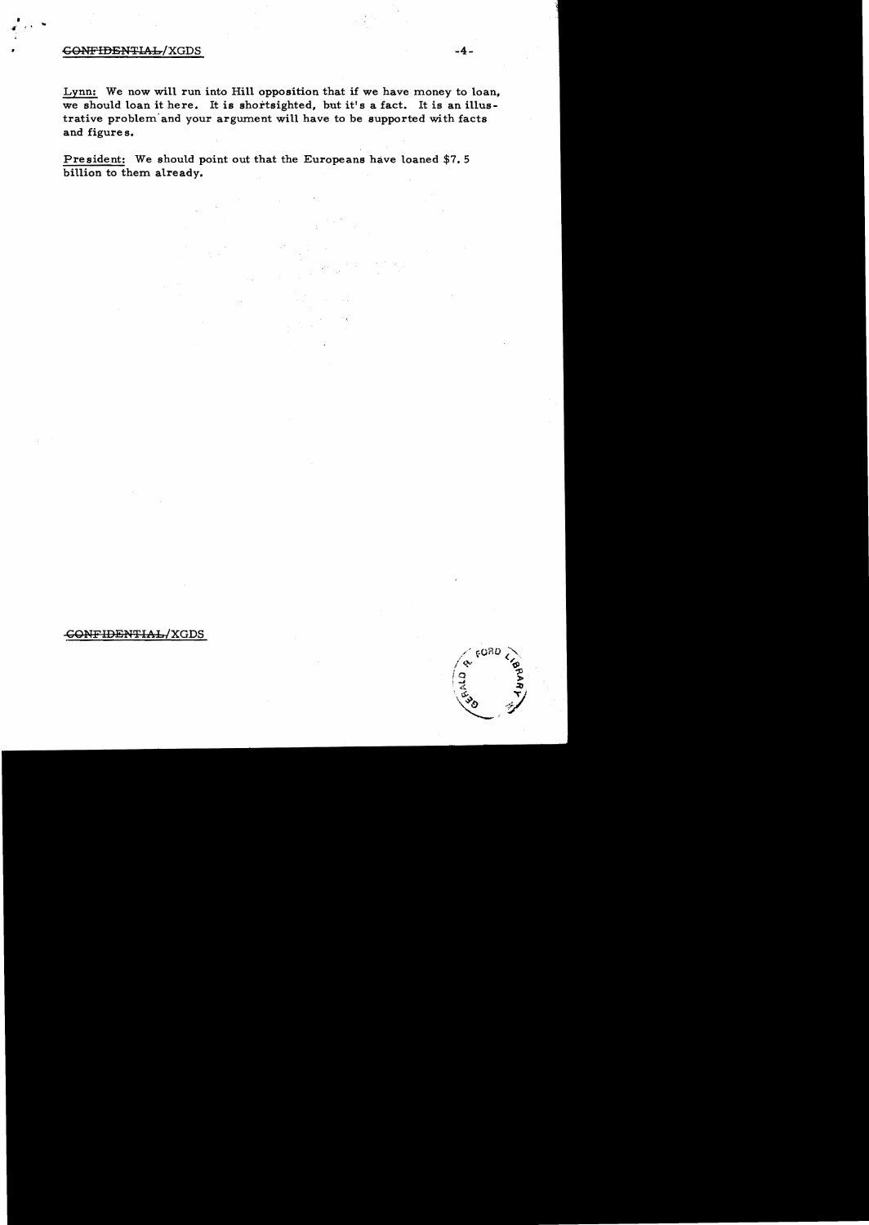## CONFIDENTIAL/XGDS -4-

Lynn: We now will run into Hill opposition that if we have money to loan, we should loan it here. It is shortsighted, but it's a fact. It is an illustrative problem' and your argument will have to be supported with facts and figure s.

President: We should point out that the Europeans have loaned \$7.5 billion to them already.

# CGNFIDENTlAL/XGDS

 $6000$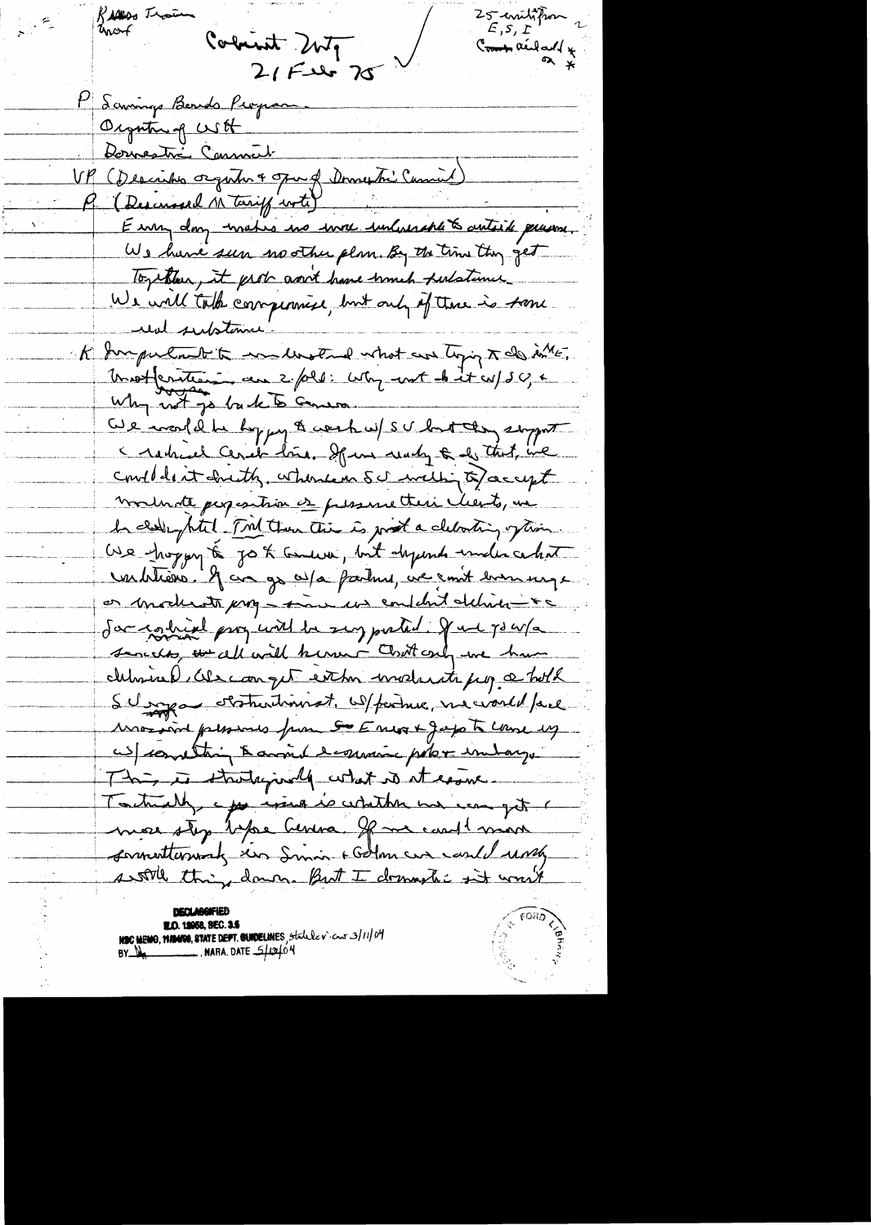Rivers Than  $25$  evento from Commanded + Colunit 2nty  $2152525$ P Samings Bends Peopam. Organtin of USH Dormestré Communt VP (Describes organic & open of Domestic Curried) P. (Descensed M tarif with E um day mates no more unhurshed antick puisse. We have seen no other plan. By the time they get Together, it prob good have himch fulstance We will take compensive, but only of those is from une substance K Surpulant to endlested what are topic to do in Insettentien au 2/020: cette unt de it cepse, e Why not go buck to Genera We would be hypy & work w/ SU but they support I retre level done, If un ready & de that, we condidentalenth, where on Schooling of accept moderate persontion es pressancteri clients, un In chelly puted Tril then this is just a clearting often. We hoppy to go to tensure, but depends under certain verbliens. If au grad partirel, ve cont bonneuge or moderats prog - man us content deliver - +c Jacquin pry with he sug pated. July 3 w/a served to all will know Cont only me have determined als compt est to conduct from a hold SU spa statutionnat, W/ferduce, ne would face Associated pleasures from SOE most Japonte Course by W/ constant Banned Scouncie poler indays This is struturisely what is it easie Toutually a for wind is whither we can get mese step before Centra. If me could man commentations and smin + Golme un could und soon thing down. But I dominate it would

**H.O. 12058, SEC. 3.5** NEC MEMO, MANGO, STATE DEPT. GUNDELINES, Statule v. cur 3/11/04<br>BY NA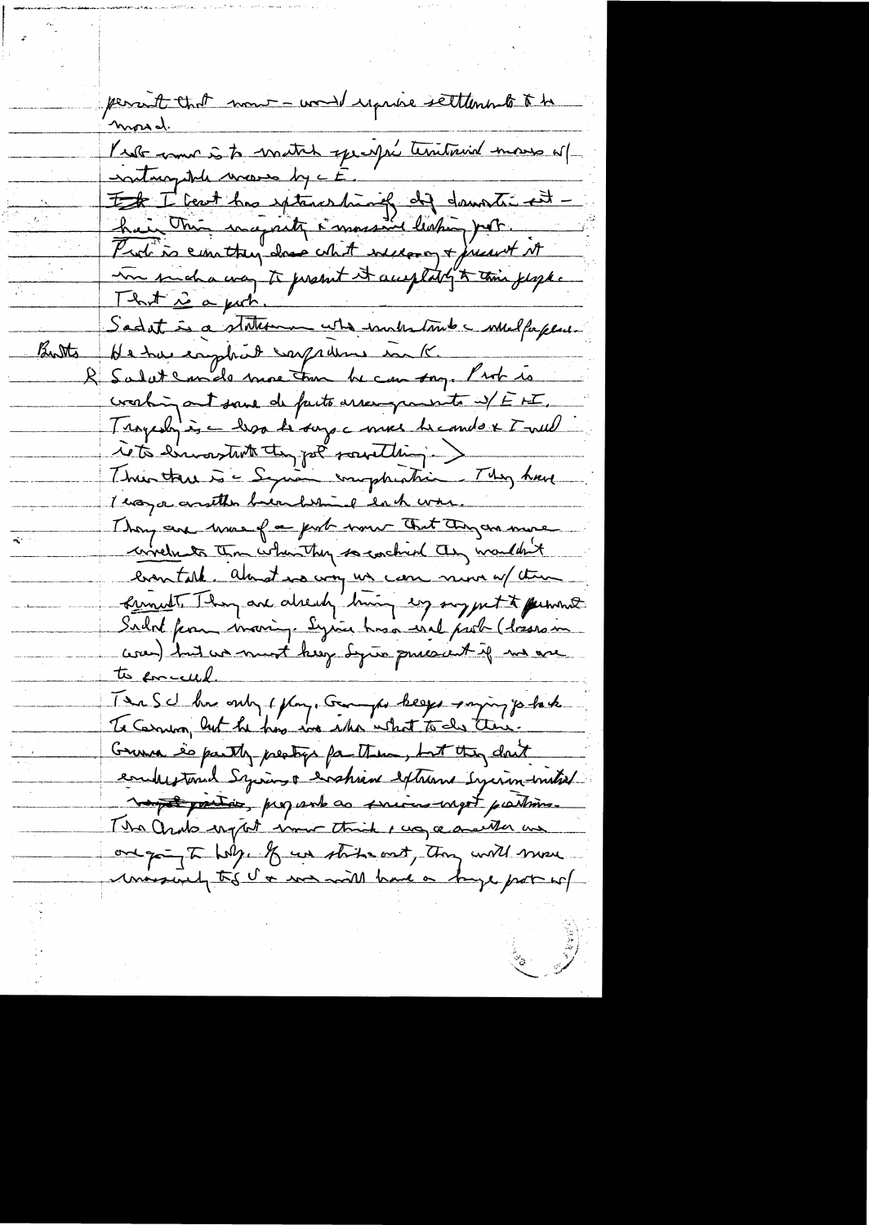permett that mont - would reprise settlements to be <u>morral</u>. Verbanne à to match specific territoire mons esp. It I beat has extended and downthe est hui this wagisty i mussive leating port. un sucha coa te present et acceptably to this justice. Sadat is a statement who immediate melforplant Butts He has easphort carpedine in K. Salat concle more tour be can say. Prob is verbing at save de facts assemption of EF. Tragedy is a hop to say a more becompt to well rets envoyent tempolé societain. This there is a Square impheatrice. They have I way a constitue back when I lack when Thong are worked on prob some That They are more correlate than when they so conchard they wouldn't eventale. almost us way us can nine w/ the <u> Lunidt They are already him sig suggest to permise</u> Sudot from invaring. Sysie his ind probabiles an was) but we must keep Syria procent if no are to concelled. Tea School and of play. Ganger keeps saying jo tak To Carmion, but he has we who what to do this. Grunn so partly preating for them, but they don't enderstand Syring & wahren extreme Syring untiel vot parties, proparle as success most partires. The Orato ength inner think I us a marther un one going to help. If we starte out, then will move mosquely to I a was will have a bage port of

alian dia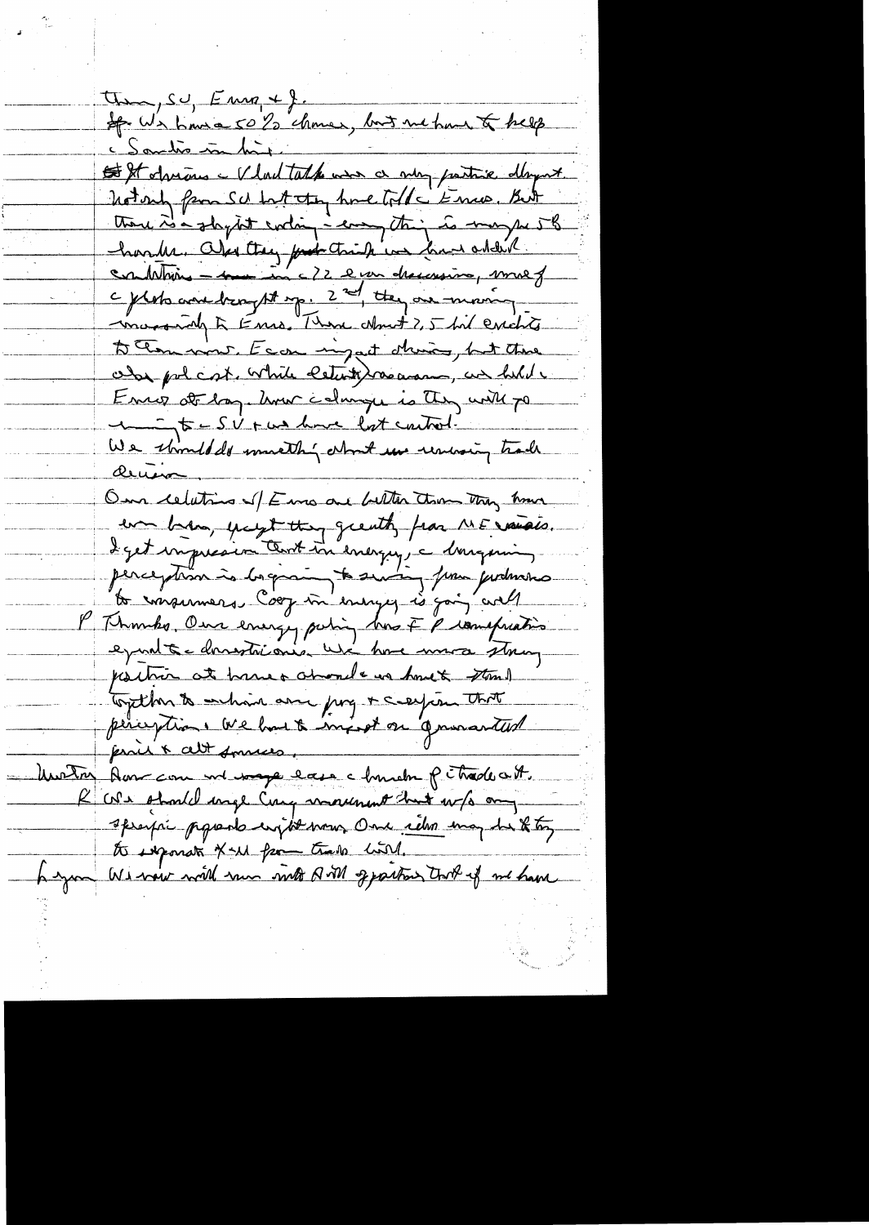$\tau_{\text{max}}, \text{so}, \text{Emn} \neq \text{S}.$ ff. We have 50% chance, but no have to help Santis in hit. St shrims - V lad tath was a very partire day nt. notary from SU but they have told to know, But those is a stay tot ending a comptant is may so 58 morrison à Enro, Than Nort 2,5 bil excluts to them wont. Ecca migat d'unic, but there aby policit while estation as we held Enrop at lag. hvor colonge is they will go 1 = SV + us have lost control. We shindled musthy what we unusing trade denin On celuting of Emo are better them they have en bens, yough they greatly from ME varios. deget impression Contentinemengen, a donne production to impermers Coop in energy is going with P Thombs, One every policy has I prompration epart à domestre our use home mora storag partier at home + about us how & stand Together to enhance are por + caption That pliceptions we had a import on governanted prois & alt somes. Unitar Aussemme we wage each church pitradeat. K We should unge Cum movement has w/s any specific proposte emptod mon One return may be the top to informat x-w from trade hold. heyan Winnie with run with Q vill geparting took of me have